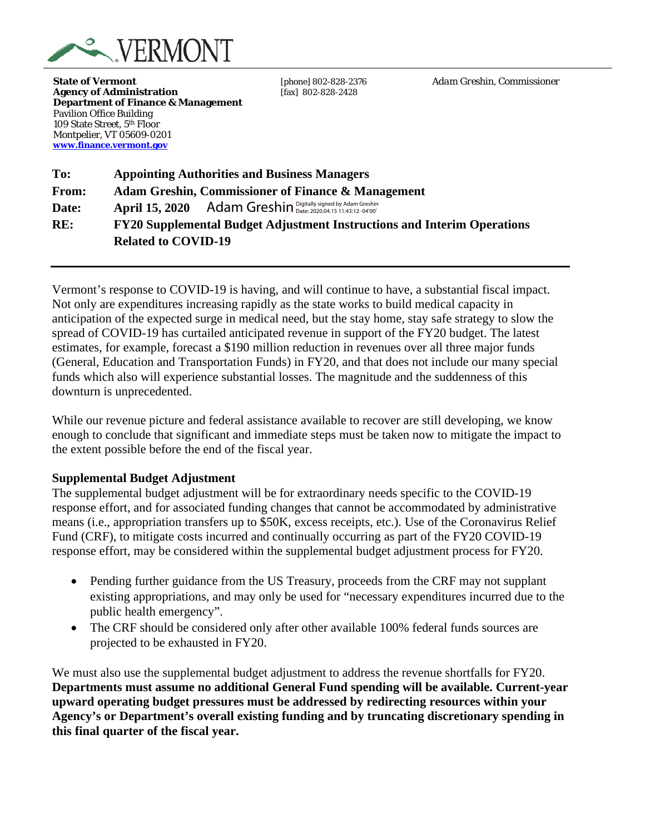

**State of Vermont** *CONDER (Phone)*  $\alpha$  *Adam Greshin, Commissioner Adam Greshin, Commissioner* Agency of Administration [fax] 802-828-2428 **Department of Finance & Management** Pavilion Office Building 109 State Street, 5th Floor Montpelier, VT 05609-0201 **[www.finance.vermont.gov](http://www.finance.vermont.gov/)**

**To: Appointing Authorities and Business Managers From: Adam Greshin, Commissioner of Finance & Management Date: April 15, 2020 RE: FY20 Supplemental Budget Adjustment Instructions and Interim Operations Related to COVID-19** Adam Greshin Digitally signed by Adam Greshin

Vermont's response to COVID-19 is having, and will continue to have, a substantial fiscal impact. Not only are expenditures increasing rapidly as the state works to build medical capacity in anticipation of the expected surge in medical need, but the stay home, stay safe strategy to slow the spread of COVID-19 has curtailed anticipated revenue in support of the FY20 budget. The latest estimates, for example, forecast a \$190 million reduction in revenues over all three major funds (General, Education and Transportation Funds) in FY20, and that does not include our many special funds which also will experience substantial losses. The magnitude and the suddenness of this downturn is unprecedented.

While our revenue picture and federal assistance available to recover are still developing, we know enough to conclude that significant and immediate steps must be taken now to mitigate the impact to the extent possible before the end of the fiscal year.

## **Supplemental Budget Adjustment**

The supplemental budget adjustment will be for extraordinary needs specific to the COVID-19 response effort, and for associated funding changes that cannot be accommodated by administrative means (i.e., appropriation transfers up to \$50K, excess receipts, etc.). Use of the Coronavirus Relief Fund (CRF), to mitigate costs incurred and continually occurring as part of the FY20 COVID-19 response effort, may be considered within the supplemental budget adjustment process for FY20.

- Pending further guidance from the US Treasury, proceeds from the CRF may not supplant existing appropriations, and may only be used for "necessary expenditures incurred due to the public health emergency".
- The CRF should be considered only after other available 100% federal funds sources are projected to be exhausted in FY20.

We must also use the supplemental budget adjustment to address the revenue shortfalls for FY20. **Departments must assume no additional General Fund spending will be available. Current-year upward operating budget pressures must be addressed by redirecting resources within your Agency's or Department's overall existing funding and by truncating discretionary spending in this final quarter of the fiscal year.**